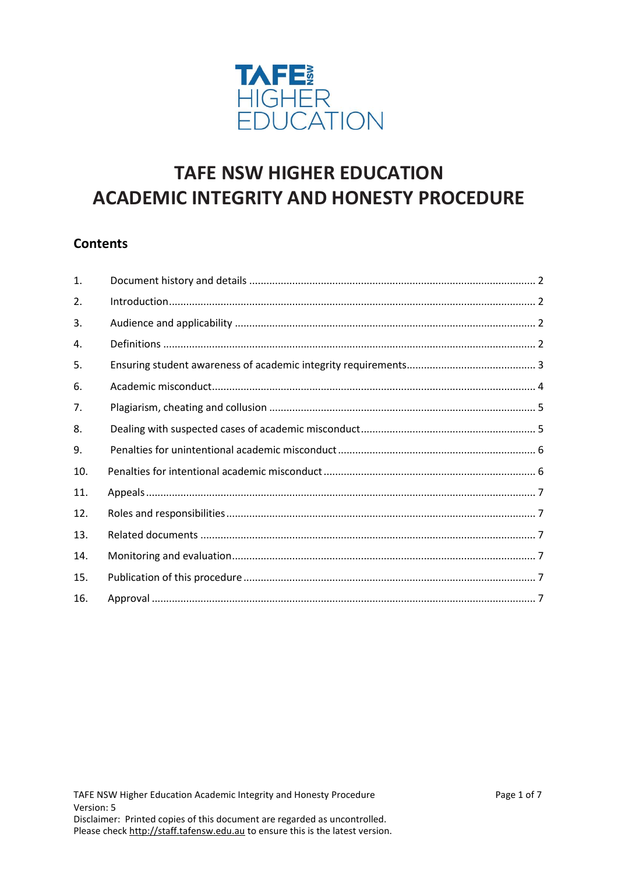

# **TAFE NSW HIGHER EDUCATION ACADEMIC INTEGRITY AND HONESTY PROCEDURE**

# **Contents**

| 1.  |  |
|-----|--|
| 2.  |  |
| 3.  |  |
| 4.  |  |
| 5.  |  |
| 6.  |  |
| 7.  |  |
| 8.  |  |
| 9.  |  |
| 10. |  |
| 11. |  |
| 12. |  |
| 13. |  |
| 14. |  |
| 15. |  |
| 16. |  |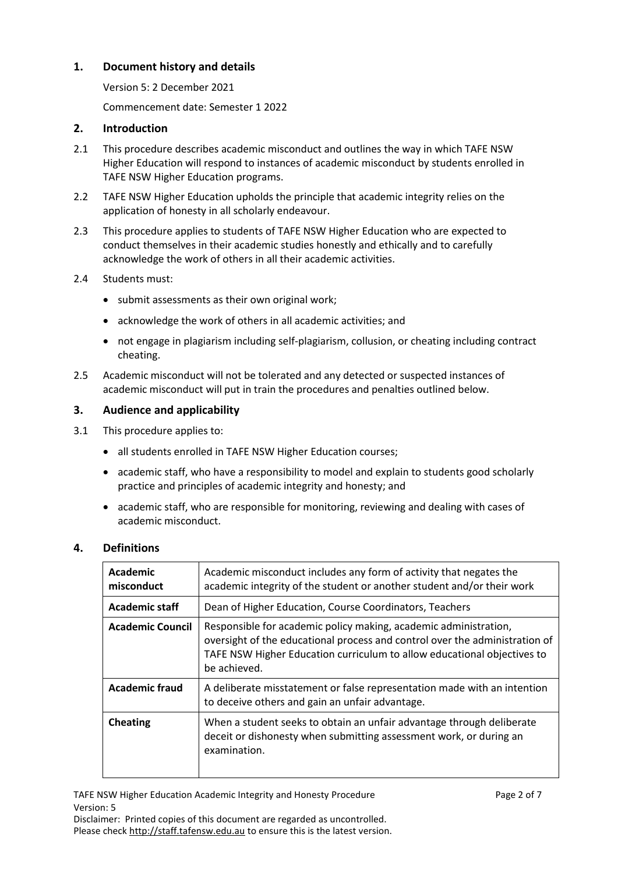# <span id="page-1-0"></span>**1. Document history and details**

Version 5: 2 December 2021

Commencement date: Semester 1 2022

#### <span id="page-1-1"></span>**2. Introduction**

- 2.1 This procedure describes academic misconduct and outlines the way in which TAFE NSW Higher Education will respond to instances of academic misconduct by students enrolled in TAFE NSW Higher Education programs.
- 2.2 TAFE NSW Higher Education upholds the principle that academic integrity relies on the application of honesty in all scholarly endeavour.
- 2.3 This procedure applies to students of TAFE NSW Higher Education who are expected to conduct themselves in their academic studies honestly and ethically and to carefully acknowledge the work of others in all their academic activities.
- 2.4 Students must:
	- submit assessments as their own original work;
	- acknowledge the work of others in all academic activities; and
	- not engage in plagiarism including self-plagiarism, collusion, or cheating including contract cheating.
- 2.5 Academic misconduct will not be tolerated and any detected or suspected instances of academic misconduct will put in train the procedures and penalties outlined below.

# <span id="page-1-2"></span>**3. Audience and applicability**

- 3.1 This procedure applies to:
	- all students enrolled in TAFE NSW Higher Education courses;
	- academic staff, who have a responsibility to model and explain to students good scholarly practice and principles of academic integrity and honesty; and
	- academic staff, who are responsible for monitoring, reviewing and dealing with cases of academic misconduct.

#### <span id="page-1-3"></span>**4. Definitions**

| Academic<br>misconduct  | Academic misconduct includes any form of activity that negates the<br>academic integrity of the student or another student and/or their work                                                                                               |
|-------------------------|--------------------------------------------------------------------------------------------------------------------------------------------------------------------------------------------------------------------------------------------|
| <b>Academic staff</b>   | Dean of Higher Education, Course Coordinators, Teachers                                                                                                                                                                                    |
| <b>Academic Council</b> | Responsible for academic policy making, academic administration,<br>oversight of the educational process and control over the administration of<br>TAFE NSW Higher Education curriculum to allow educational objectives to<br>be achieved. |
| <b>Academic fraud</b>   | A deliberate misstatement or false representation made with an intention<br>to deceive others and gain an unfair advantage.                                                                                                                |
| <b>Cheating</b>         | When a student seeks to obtain an unfair advantage through deliberate<br>deceit or dishonesty when submitting assessment work, or during an<br>examination.                                                                                |

TAFE NSW Higher Education Academic Integrity and Honesty Procedure **Page 2 of 7** Page 2 of 7 Version: 5

Disclaimer: Printed copies of this document are regarded as uncontrolled. Please check [http://staff.tafensw.edu.au](http://staff.tafensw.edu.au/) to ensure this is the latest version.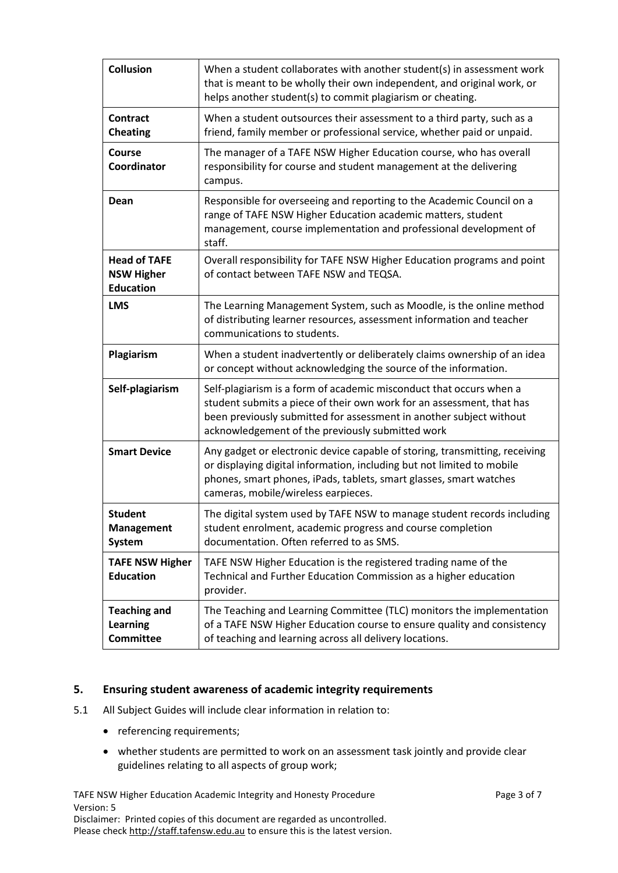| <b>Collusion</b>                                             | When a student collaborates with another student(s) in assessment work<br>that is meant to be wholly their own independent, and original work, or<br>helps another student(s) to commit plagiarism or cheating.                                                         |
|--------------------------------------------------------------|-------------------------------------------------------------------------------------------------------------------------------------------------------------------------------------------------------------------------------------------------------------------------|
| <b>Contract</b><br><b>Cheating</b>                           | When a student outsources their assessment to a third party, such as a<br>friend, family member or professional service, whether paid or unpaid.                                                                                                                        |
| Course<br>Coordinator                                        | The manager of a TAFE NSW Higher Education course, who has overall<br>responsibility for course and student management at the delivering<br>campus.                                                                                                                     |
| Dean                                                         | Responsible for overseeing and reporting to the Academic Council on a<br>range of TAFE NSW Higher Education academic matters, student<br>management, course implementation and professional development of<br>staff.                                                    |
| <b>Head of TAFE</b><br><b>NSW Higher</b><br><b>Education</b> | Overall responsibility for TAFE NSW Higher Education programs and point<br>of contact between TAFE NSW and TEQSA.                                                                                                                                                       |
| <b>LMS</b>                                                   | The Learning Management System, such as Moodle, is the online method<br>of distributing learner resources, assessment information and teacher<br>communications to students.                                                                                            |
| Plagiarism                                                   | When a student inadvertently or deliberately claims ownership of an idea<br>or concept without acknowledging the source of the information.                                                                                                                             |
| Self-plagiarism                                              | Self-plagiarism is a form of academic misconduct that occurs when a<br>student submits a piece of their own work for an assessment, that has<br>been previously submitted for assessment in another subject without<br>acknowledgement of the previously submitted work |
| <b>Smart Device</b>                                          | Any gadget or electronic device capable of storing, transmitting, receiving<br>or displaying digital information, including but not limited to mobile<br>phones, smart phones, iPads, tablets, smart glasses, smart watches<br>cameras, mobile/wireless earpieces.      |
| <b>Student</b><br><b>Management</b><br>System                | The digital system used by TAFE NSW to manage student records including<br>student enrolment, academic progress and course completion<br>documentation. Often referred to as SMS.                                                                                       |
| <b>TAFE NSW Higher</b><br><b>Education</b>                   | TAFE NSW Higher Education is the registered trading name of the<br>Technical and Further Education Commission as a higher education<br>provider.                                                                                                                        |
| <b>Teaching and</b><br><b>Learning</b><br><b>Committee</b>   | The Teaching and Learning Committee (TLC) monitors the implementation<br>of a TAFE NSW Higher Education course to ensure quality and consistency<br>of teaching and learning across all delivery locations.                                                             |

# <span id="page-2-0"></span>**5. Ensuring student awareness of academic integrity requirements**

- 5.1 All Subject Guides will include clear information in relation to:
	- referencing requirements;
	- whether students are permitted to work on an assessment task jointly and provide clear guidelines relating to all aspects of group work;

TAFE NSW Higher Education Academic Integrity and Honesty Procedure **Page 3 of 7** Page 3 of 7 Version: 5 Disclaimer: Printed copies of this document are regarded as uncontrolled. Please check [http://staff.tafensw.edu.au](http://staff.tafensw.edu.au/) to ensure this is the latest version.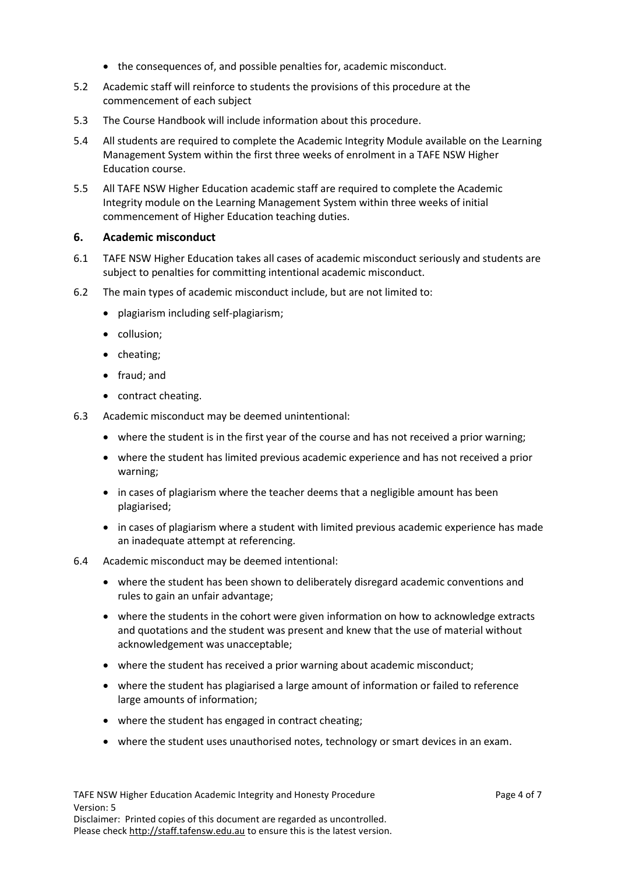- the consequences of, and possible penalties for, academic misconduct.
- 5.2 Academic staff will reinforce to students the provisions of this procedure at the commencement of each subject
- 5.3 The Course Handbook will include information about this procedure.
- 5.4 All students are required to complete the Academic Integrity Module available on the Learning Management System within the first three weeks of enrolment in a TAFE NSW Higher Education course.
- 5.5 All TAFE NSW Higher Education academic staff are required to complete the Academic Integrity module on the Learning Management System within three weeks of initial commencement of Higher Education teaching duties.

#### <span id="page-3-0"></span>**6. Academic misconduct**

- 6.1 TAFE NSW Higher Education takes all cases of academic misconduct seriously and students are subject to penalties for committing intentional academic misconduct.
- 6.2 The main types of academic misconduct include, but are not limited to:
	- plagiarism including self-plagiarism;
	- collusion;
	- cheating;
	- fraud; and
	- contract cheating.
- 6.3 Academic misconduct may be deemed unintentional:
	- where the student is in the first year of the course and has not received a prior warning;
	- where the student has limited previous academic experience and has not received a prior warning;
	- in cases of plagiarism where the teacher deems that a negligible amount has been plagiarised;
	- in cases of plagiarism where a student with limited previous academic experience has made an inadequate attempt at referencing.
- 6.4 Academic misconduct may be deemed intentional:
	- where the student has been shown to deliberately disregard academic conventions and rules to gain an unfair advantage;
	- where the students in the cohort were given information on how to acknowledge extracts and quotations and the student was present and knew that the use of material without acknowledgement was unacceptable;
	- where the student has received a prior warning about academic misconduct;
	- where the student has plagiarised a large amount of information or failed to reference large amounts of information;
	- where the student has engaged in contract cheating;
	- where the student uses unauthorised notes, technology or smart devices in an exam.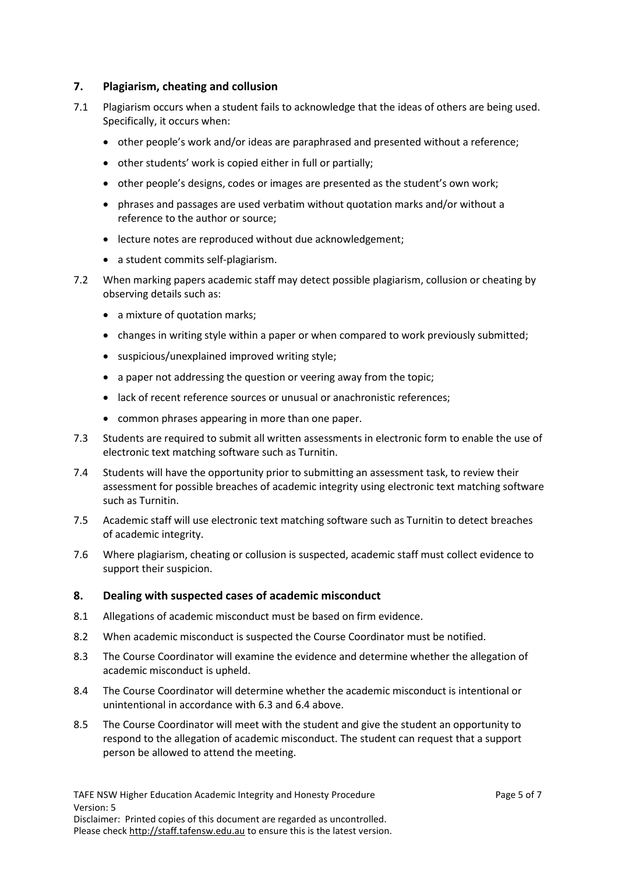# <span id="page-4-0"></span>**7. Plagiarism, cheating and collusion**

- 7.1 Plagiarism occurs when a student fails to acknowledge that the ideas of others are being used. Specifically, it occurs when:
	- other people's work and/or ideas are paraphrased and presented without a reference;
	- other students' work is copied either in full or partially;
	- other people's designs, codes or images are presented as the student's own work;
	- phrases and passages are used verbatim without quotation marks and/or without a reference to the author or source;
	- lecture notes are reproduced without due acknowledgement;
	- a student commits self-plagiarism.
- 7.2 When marking papers academic staff may detect possible plagiarism, collusion or cheating by observing details such as:
	- a mixture of quotation marks;
	- changes in writing style within a paper or when compared to work previously submitted;
	- suspicious/unexplained improved writing style;
	- a paper not addressing the question or veering away from the topic;
	- lack of recent reference sources or unusual or anachronistic references;
	- common phrases appearing in more than one paper.
- 7.3 Students are required to submit all written assessments in electronic form to enable the use of electronic text matching software such as Turnitin.
- 7.4 Students will have the opportunity prior to submitting an assessment task, to review their assessment for possible breaches of academic integrity using electronic text matching software such as Turnitin.
- 7.5 Academic staff will use electronic text matching software such as Turnitin to detect breaches of academic integrity.
- 7.6 Where plagiarism, cheating or collusion is suspected, academic staff must collect evidence to support their suspicion.

#### <span id="page-4-1"></span>**8. Dealing with suspected cases of academic misconduct**

- 8.1 Allegations of academic misconduct must be based on firm evidence.
- 8.2 When academic misconduct is suspected the Course Coordinator must be notified.
- 8.3 The Course Coordinator will examine the evidence and determine whether the allegation of academic misconduct is upheld.
- 8.4 The Course Coordinator will determine whether the academic misconduct is intentional or unintentional in accordance with 6.3 and 6.4 above.
- 8.5 The Course Coordinator will meet with the student and give the student an opportunity to respond to the allegation of academic misconduct. The student can request that a support person be allowed to attend the meeting.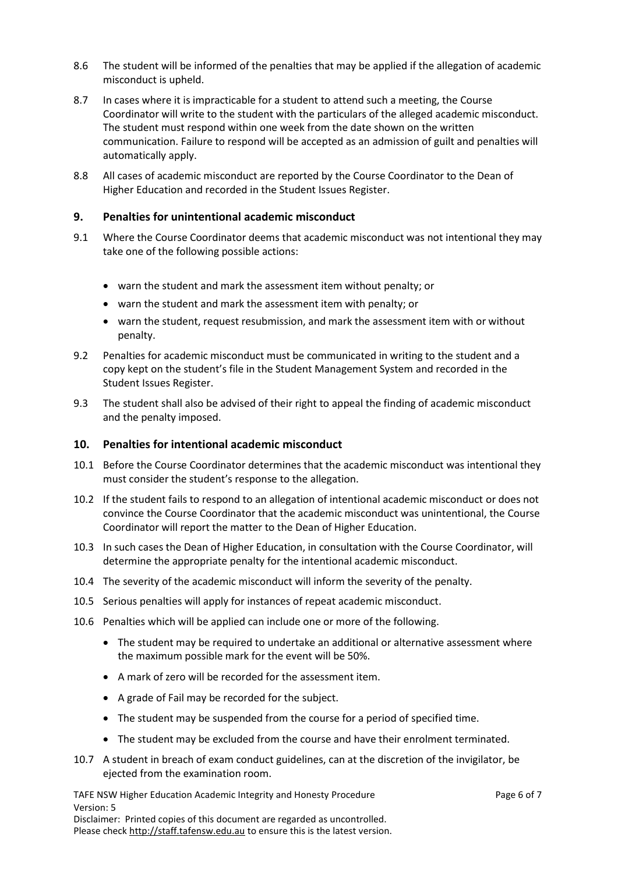- 8.6 The student will be informed of the penalties that may be applied if the allegation of academic misconduct is upheld.
- 8.7 In cases where it is impracticable for a student to attend such a meeting, the Course Coordinator will write to the student with the particulars of the alleged academic misconduct. The student must respond within one week from the date shown on the written communication. Failure to respond will be accepted as an admission of guilt and penalties will automatically apply.
- 8.8 All cases of academic misconduct are reported by the Course Coordinator to the Dean of Higher Education and recorded in the Student Issues Register.

# <span id="page-5-0"></span>**9. Penalties for unintentional academic misconduct**

- 9.1 Where the Course Coordinator deems that academic misconduct was not intentional they may take one of the following possible actions:
	- warn the student and mark the assessment item without penalty; or
	- warn the student and mark the assessment item with penalty; or
	- warn the student, request resubmission, and mark the assessment item with or without penalty.
- 9.2 Penalties for academic misconduct must be communicated in writing to the student and a copy kept on the student's file in the Student Management System and recorded in the Student Issues Register.
- 9.3 The student shall also be advised of their right to appeal the finding of academic misconduct and the penalty imposed.

#### <span id="page-5-1"></span>**10. Penalties for intentional academic misconduct**

- 10.1 Before the Course Coordinator determines that the academic misconduct was intentional they must consider the student's response to the allegation.
- 10.2 If the student fails to respond to an allegation of intentional academic misconduct or does not convince the Course Coordinator that the academic misconduct was unintentional, the Course Coordinator will report the matter to the Dean of Higher Education.
- 10.3 In such cases the Dean of Higher Education, in consultation with the Course Coordinator, will determine the appropriate penalty for the intentional academic misconduct.
- 10.4 The severity of the academic misconduct will inform the severity of the penalty.
- 10.5 Serious penalties will apply for instances of repeat academic misconduct.
- 10.6 Penalties which will be applied can include one or more of the following.
	- The student may be required to undertake an additional or alternative assessment where the maximum possible mark for the event will be 50%.
	- A mark of zero will be recorded for the assessment item.
	- A grade of Fail may be recorded for the subject.
	- The student may be suspended from the course for a period of specified time.
	- The student may be excluded from the course and have their enrolment terminated.
- 10.7 A student in breach of exam conduct guidelines, can at the discretion of the invigilator, be ejected from the examination room.

TAFE NSW Higher Education Academic Integrity and Honesty Procedure **Page 6 of 7** Page 6 of 7 Version: 5 Disclaimer: Printed copies of this document are regarded as uncontrolled. Please check [http://staff.tafensw.edu.au](http://staff.tafensw.edu.au/) to ensure this is the latest version.